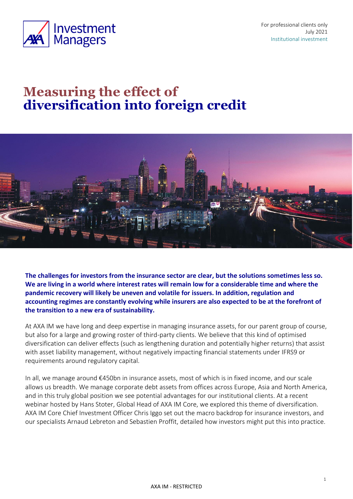

# **Measuring the effect of diversification into foreign credit**



**The challenges for investors from the insurance sector are clear, but the solutions sometimes less so. We are living in a world where interest rates will remain low for a considerable time and where the pandemic recovery will likely be uneven and volatile for issuers. In addition, regulation and accounting regimes are constantly evolving while insurers are also expected to be at the forefront of the transition to a new era of sustainability.**

At AXA IM we have long and deep expertise in managing insurance assets, for our parent group of course, but also for a large and growing roster of third-party clients. We believe that this kind of optimised diversification can deliver effects (such as lengthening duration and potentially higher returns) that assist with asset liability management, without negatively impacting financial statements under IFRS9 or requirements around regulatory capital.

In all, we manage around €450bn in insurance assets, most of which is in fixed income, and our scale allows us breadth. We manage corporate debt assets from offices across Europe, Asia and North America, and in this truly global position we see potential advantages for our institutional clients. At a recent webinar hosted by Hans Stoter, Global Head of AXA IM Core, we explored this theme of diversification. AXA IM Core Chief Investment Officer Chris Iggo set out the macro backdrop for insurance investors, and our specialists Arnaud Lebreton and Sebastien Proffit, detailed how investors might put this into practice.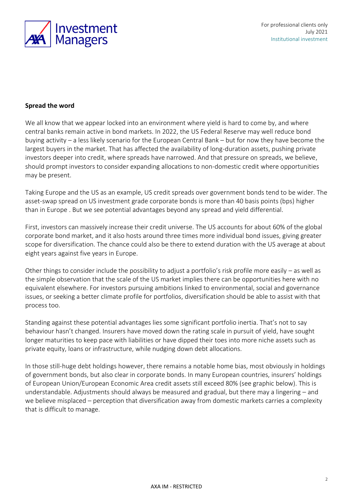

#### **Spread the word**

We all know that we appear locked into an environment where yield is hard to come by, and where central banks remain active in bond markets. In 2022, the US Federal Reserve may well reduce bond buying activity – a less likely scenario for the European Central Bank – but for now they have become the largest buyers in the market. That has affected the availability of long-duration assets, pushing private investors deeper into credit, where spreads have narrowed. And that pressure on spreads, we believe, should prompt investors to consider expanding allocations to non-domestic credit where opportunities may be present.

Taking Europe and the US as an example, US credit spreads over government bonds tend to be wider. The asset-swap spread on US investment grade corporate bonds is more than 40 basis points (bps) higher than in Europe . But we see potential advantages beyond any spread and yield differential.

First, investors can massively increase their credit universe. The US accounts for about 60% of the global corporate bond market, and it also hosts around three times more individual bond issues, giving greater scope for diversification. The chance could also be there to extend duration with the US average at about eight years against five years in Europe.

Other things to consider include the possibility to adjust a portfolio's risk profile more easily – as well as the simple observation that the scale of the US market implies there can be opportunities here with no equivalent elsewhere. For investors pursuing ambitions linked to environmental, social and governance issues, or seeking a better climate profile for portfolios, diversification should be able to assist with that process too.

Standing against these potential advantages lies some significant portfolio inertia. That's not to say behaviour hasn't changed. Insurers have moved down the rating scale in pursuit of yield, have sought longer maturities to keep pace with liabilities or have dipped their toes into more niche assets such as private equity, loans or infrastructure, while nudging down debt allocations.

In those still-huge debt holdings however, there remains a notable home bias, most obviously in holdings of government bonds, but also clear in corporate bonds. In many European countries, insurers' holdings of European Union/European Economic Area credit assets still exceed 80% (see graphic below). This is understandable. Adjustments should always be measured and gradual, but there may a lingering – and we believe misplaced – perception that diversification away from domestic markets carries a complexity that is difficult to manage.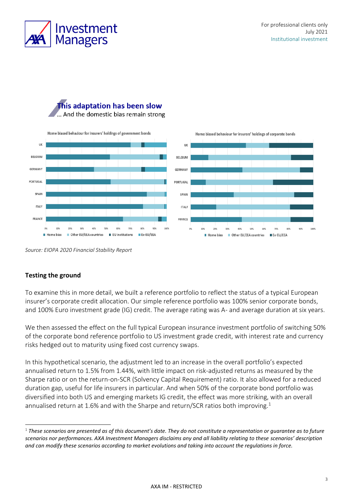





*Source: EIOPA 2020 Financial Stability Report*

#### **Testing the ground**

To examine this in more detail, we built a reference portfolio to reflect the status of a typical European insurer's corporate credit allocation. Our simple reference portfolio was 100% senior corporate bonds, and 100% Euro investment grade (IG) credit. The average rating was A- and average duration at six years.

We then assessed the effect on the full typical European insurance investment portfolio of switching 50% of the corporate bond reference portfolio to US investment grade credit, with interest rate and currency risks hedged out to maturity using fixed cost currency swaps.

In this hypothetical scenario, the adjustment led to an increase in the overall portfolio's expected annualised return to 1.5% from 1.44%, with little impact on risk-adjusted returns as measured by the Sharpe ratio or on the return-on-SCR (Solvency Capital Requirement) ratio. It also allowed for a reduced duration gap, useful for life insurers in particular. And when 50% of the corporate bond portfolio was diversified into both US and emerging markets IG credit, the effect was more striking, with an overall annualised return at 1.6% and with the Sharpe and return/SCR ratios both improving.<sup>1</sup>

<sup>1</sup> *These scenarios are presented as of this document's date. They do not constitute a representation or guarantee as to future scenarios nor performances. AXA Investment Managers disclaims any and all liability relating to these scenarios' description and can modify these scenarios according to market evolutions and taking into account the regulations in force.*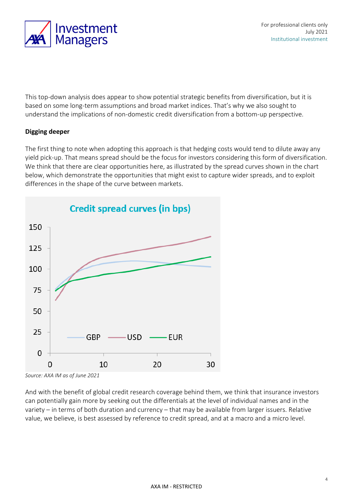

This top-down analysis does appear to show potential strategic benefits from diversification, but it is based on some long-term assumptions and broad market indices. That's why we also sought to understand the implications of non-domestic credit diversification from a bottom-up perspective.

### **Digging deeper**

The first thing to note when adopting this approach is that hedging costs would tend to dilute away any yield pick-up. That means spread should be the focus for investors considering this form of diversification. We think that there are clear opportunities here, as illustrated by the spread curves shown in the chart below, which demonstrate the opportunities that might exist to capture wider spreads, and to exploit differences in the shape of the curve between markets.



*Source: AXA IM as of June 2021*

And with the benefit of global credit research coverage behind them, we think that insurance investors can potentially gain more by seeking out the differentials at the level of individual names and in the variety – in terms of both duration and currency – that may be available from larger issuers. Relative value, we believe, is best assessed by reference to credit spread, and at a macro and a micro level.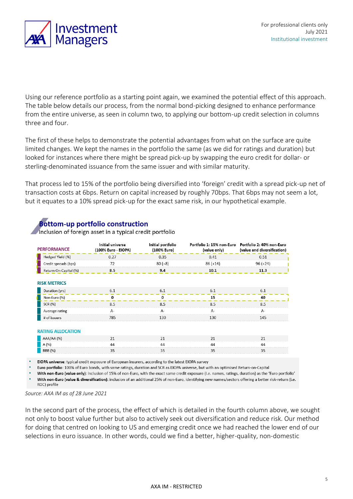

Using our reference portfolio as a starting point again, we examined the potential effect of this approach. The table below details our process, from the normal bond-picking designed to enhance performance from the entire universe, as seen in column two, to applying our bottom-up credit selection in columns three and four.

The first of these helps to demonstrate the potential advantages from what on the surface are quite limited changes. We kept the names in the portfolio the same (as we did for ratings and duration) but looked for instances where there might be spread pick-up by swapping the euro credit for dollar- or sterling-denominated issuance from the same issuer and with similar maturity.

That process led to 15% of the portfolio being diversified into 'foreign' credit with a spread pick-up net of transaction costs at 6bps. Return on capital increased by roughly 70bps. That 6bps may not seem a lot, but it equates to a 10% spread pick-up for the exact same risk, in our hypothetical example.

## **Bottom-up portfolio construction**

Inclusion of foreign asset in a typical credit portfolio

| <b>PERFORMANCE</b>       | Initial universe<br>(100% Euro - EIOPA) | Initial portfolio<br>(100% Euro) | (value only) | Portfolio 1: 15% non-Euro Portfolio 2: 40% non-Euro<br>(value and diversification) |
|--------------------------|-----------------------------------------|----------------------------------|--------------|------------------------------------------------------------------------------------|
| Hedged Yield (%)         | 0.27                                    | 0.35                             | 0.41         | 0.51                                                                               |
| Credit spreads (bps)     | 72                                      | $80 (+8)$                        | $86 (+14)$   | $96 (+24)$                                                                         |
| Return-On-Capital (%)    | 8.5                                     | 9.4                              | 10.1         | 11.3                                                                               |
| <b>RISK METRICS</b>      |                                         |                                  |              |                                                                                    |
| Duration (yrs)           | 6.1                                     | 6.1                              | 6.1          | 6.1                                                                                |
| Non-Euro (%)             | O                                       | O                                | 15           | 40                                                                                 |
| SCR (%)                  | 8.5                                     | 8.5                              | 8.5          | 8.5                                                                                |
| Average rating           | A-                                      | A-                               | $A-$         | $A-$                                                                               |
| # of issuers             | 785                                     | 130                              | 130          | 145                                                                                |
| <b>RATING ALLOCATION</b> |                                         |                                  |              |                                                                                    |
| AAA/AA (%)               | 21                                      | 21                               | 21           | 21                                                                                 |
| A (%)                    | 44                                      | 44                               | 44           | 44                                                                                 |
| BBB (%)                  | 35                                      | 35                               | 35           | 35                                                                                 |

EIOPA universe: typical credit exposure of European insurers, according to the latest EIOPA survey

Euro portfolio: 100% of Euro bonds, with same ratings, duration and SCR as EIOPA universe, but with an optimised Return-on-Capital

With non-Euro (value only): inclusion of 15% of non-Euro, with the exact same credit exposure (i.e. names, ratings, duration) as the 'Euro portfolio' With non-Euro (value & diversification): inclusion of an additional 25% of non-Euro, identifying new names/sectors offering a better risk-return (i.e. ROC) profile

*Source: AXA IM as of 28 June 2021*

In the second part of the process, the effect of which is detailed in the fourth column above, we sought not only to boost value further but also to actively seek out diversification and reduce risk. Our method for doing that centred on looking to US and emerging credit once we had reached the lower end of our selections in euro issuance. In other words, could we find a better, higher-quality, non-domestic